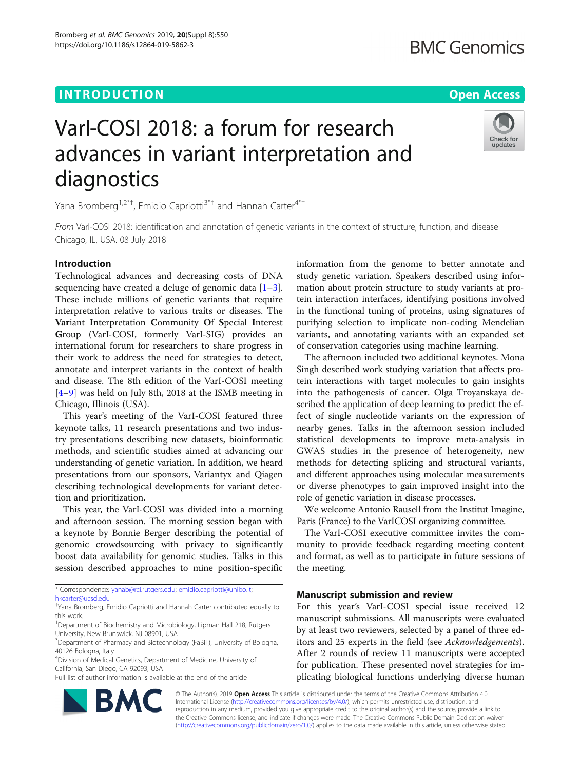# **INTRODUCTION CONSUMING THE OPEN ACCESS**

Bromberg et al. BMC Genomics 2019, 20(Suppl 8):550

https://doi.org/10.1186/s12864-019-5862-3

Check for updates

**BMC Genomics** 

# VarI-COSI 2018: a forum for research advances in variant interpretation and diagnostics

Yana Bromberg<sup>1,2\*†</sup>, Emidio Capriotti<sup>3\*†</sup> and Hannah Carter<sup>4\*†</sup>

From VarI-COSI 2018: identification and annotation of genetic variants in the context of structure, function, and disease Chicago, IL, USA. 08 July 2018

# Introduction

Technological advances and decreasing costs of DNA sequencing have created a deluge of genomic data [\[1](#page-1-0)–[3](#page-1-0)]. These include millions of genetic variants that require interpretation relative to various traits or diseases. The Variant Interpretation Community Of Special Interest Group (VarI-COSI, formerly VarI-SIG) provides an international forum for researchers to share progress in their work to address the need for strategies to detect, annotate and interpret variants in the context of health and disease. The 8th edition of the VarI-COSI meeting [[4](#page-1-0)–[9\]](#page-1-0) was held on July 8th, 2018 at the ISMB meeting in Chicago, Illinois (USA).

This year's meeting of the VarI-COSI featured three keynote talks, 11 research presentations and two industry presentations describing new datasets, bioinformatic methods, and scientific studies aimed at advancing our understanding of genetic variation. In addition, we heard presentations from our sponsors, Variantyx and Qiagen describing technological developments for variant detection and prioritization.

This year, the VarI-COSI was divided into a morning and afternoon session. The morning session began with a keynote by Bonnie Berger describing the potential of genomic crowdsourcing with privacy to significantly boost data availability for genomic studies. Talks in this session described approaches to mine position-specific

\* Correspondence: [yanab@rci.rutgers.edu](mailto:yanab@rci.rutgers.edu); [emidio.capriotti@unibo.it](mailto:emidio.capriotti@unibo.it);

<sup>3</sup>Department of Pharmacy and Biotechnology (FaBiT), University of Bologna, 40126 Bologna, Italy

4 Division of Medical Genetics, Department of Medicine, University of California, San Diego, CA 92093, USA

Full list of author information is available at the end of the article



information from the genome to better annotate and study genetic variation. Speakers described using information about protein structure to study variants at protein interaction interfaces, identifying positions involved in the functional tuning of proteins, using signatures of purifying selection to implicate non-coding Mendelian variants, and annotating variants with an expanded set of conservation categories using machine learning.

The afternoon included two additional keynotes. Mona Singh described work studying variation that affects protein interactions with target molecules to gain insights into the pathogenesis of cancer. Olga Troyanskaya described the application of deep learning to predict the effect of single nucleotide variants on the expression of nearby genes. Talks in the afternoon session included statistical developments to improve meta-analysis in GWAS studies in the presence of heterogeneity, new methods for detecting splicing and structural variants, and different approaches using molecular measurements or diverse phenotypes to gain improved insight into the role of genetic variation in disease processes.

We welcome Antonio Rausell from the Institut Imagine, Paris (France) to the VarICOSI organizing committee.

The VarI-COSI executive committee invites the community to provide feedback regarding meeting content and format, as well as to participate in future sessions of the meeting.

# Manuscript submission and review

For this year's VarI-COSI special issue received 12 manuscript submissions. All manuscripts were evaluated by at least two reviewers, selected by a panel of three editors and 25 experts in the field (see Acknowledgements). After 2 rounds of review 11 manuscripts were accepted for publication. These presented novel strategies for implicating biological functions underlying diverse human

© The Author(s). 2019 Open Access This article is distributed under the terms of the Creative Commons Attribution 4.0 International License [\(http://creativecommons.org/licenses/by/4.0/](http://creativecommons.org/licenses/by/4.0/)), which permits unrestricted use, distribution, and reproduction in any medium, provided you give appropriate credit to the original author(s) and the source, provide a link to the Creative Commons license, and indicate if changes were made. The Creative Commons Public Domain Dedication waiver [\(http://creativecommons.org/publicdomain/zero/1.0/](http://creativecommons.org/publicdomain/zero/1.0/)) applies to the data made available in this article, unless otherwise stated.

[hkcarter@ucsd.edu](mailto:hkcarter@ucsd.edu)

<sup>†</sup> Yana Bromberg, Emidio Capriotti and Hannah Carter contributed equally to this work.

<sup>&</sup>lt;sup>1</sup>Department of Biochemistry and Microbiology, Lipman Hall 218, Rutgers University, New Brunswick, NJ 08901, USA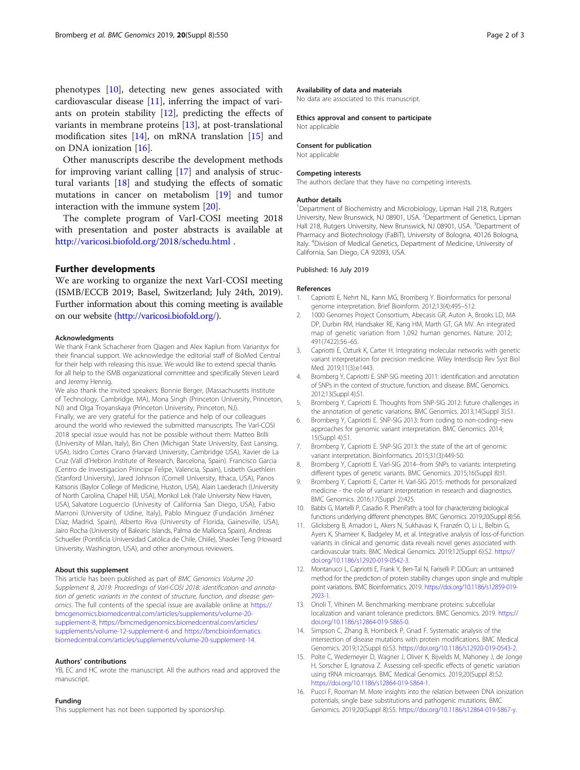<span id="page-1-0"></span>phenotypes [10], detecting new genes associated with cardiovascular disease [11], inferring the impact of variants on protein stability  $[12]$ , predicting the effects of variants in membrane proteins [13], at post-translational modification sites [14], on mRNA translation [15] and on DNA ionization [16].

Other manuscripts describe the development methods for improving variant calling [[17\]](#page-2-0) and analysis of structural variants [[18](#page-2-0)] and studying the effects of somatic mutations in cancer on metabolism [[19](#page-2-0)] and tumor interaction with the immune system [\[20](#page-2-0)].

The complete program of VarI-COSI meeting 2018 with presentation and poster abstracts is available at <http://varicosi.biofold.org/2018/schedu.html> .

### Further developments

We are working to organize the next VarI-COSI meeting (ISMB/ECCB 2019; Basel, Switzerland; July 24th, 2019). Further information about this coming meeting is available on our website [\(http://varicosi.biofold.org/](http://varicosi.biofold.org/)).

#### Acknowledgments

We thank Frank Schacherer from Qiagen and Alex Kaplun from Variantyx for their financial support. We acknowledge the editorial staff of BioMed Central for their help with releasing this issue. We would like to extend special thanks for all help to the ISMB organizational committee and specifically Steven Leard and Jeremy Hennig.

We also thank the invited speakers: Bonnie Berger, (Massachusetts Institute) of Technology, Cambridge, MA), Mona Singh (Princeton University, Princeton, NJ) and Olga Troyanskaya (Princeton University, Princeton, NJ). Finally, we are very grateful for the patience and help of our colleagues around the world who reviewed the submitted manuscripts. The VarI-COSI 2018 special issue would has not be possible without them: Matteo Brilli (University of Milan, Italy), Bin Chen (Michigan State University, East Lansing, USA), Isidro Cortes Cirano (Harvard University, Cambridge USA), Xavier de La Cruz (Vall d'Hebron Institute of Research, Barcelona, Spain). Francisco Garcia (Centro de Investigacion Principe Felipe, Valencia, Spain), Lisbeth Guethlein (Stanford University), Jared Johnson (Cornell University, Ithaca, USA), Panos Katsonis (Baylor College of Medicine, Huston, USA), Alain Laederach (University of North Carolina, Chapel Hill, USA), Monkol Lek (Yale University New Haven, USA), Salvatore Loguercio (Univesity of California San Diego, USA), Fabio Marroni (University of Udine, Italy), Pablo Minguez (Fundación Jiménez Díaz, Madrid, Spain), Alberto Riva (University of Florida, Gainesville, USA), Jairo Rocha (University of Balearic Islands, Palma de Mallorca Spain), Andreas Schueller (Pontificia Universidad Católica de Chile, Chiile), Shaolei Teng (Howard University, Washington, USA), and other anonymous reviewers.

#### About this supplement

This article has been published as part of BMC Genomics Volume 20 Supplement 8, 2019: Proceedings of VarI-COSI 2018: identification and annotation of genetic variants in the context of structure, function, and disease: genomics. The full contents of the special issue are available online at [https://](https://bmcgenomics.biomedcentral.com/articles/supplements/volume-20-supplement-8) [bmcgenomics.biomedcentral.com/articles/supplements/volume-20](https://bmcgenomics.biomedcentral.com/articles/supplements/volume-20-supplement-8) [supplement-8](https://bmcgenomics.biomedcentral.com/articles/supplements/volume-20-supplement-8), [https://bmcmedgenomics.biomedcentral.com/articles/](https://bmcmedgenomics.biomedcentral.com/articles/supplements/volume-12-supplement-6) [supplements/volume-12-supplement-6](https://bmcmedgenomics.biomedcentral.com/articles/supplements/volume-12-supplement-6) and [https://bmcbioinformatics.](https://bmcbioinformatics.biomedcentral.com/articles/supplements/volume-20-supplement-14) [biomedcentral.com/articles/supplements/volume-20-supplement-14](https://bmcbioinformatics.biomedcentral.com/articles/supplements/volume-20-supplement-14).

#### Authors' contributions

YB, EC and HC wrote the manuscript. All the authors read and approved the manuscript.

#### Funding

This supplement has not been supported by sponsorship.

No data are associated to this manuscript.

#### Ethics approval and consent to participate

Not applicable

#### Consent for publication

Not applicable

#### Competing interests

The authors declare that they have no competing interests.

#### Author details

<sup>1</sup>Department of Biochemistry and Microbiology, Lipman Hall 218, Rutgers University, New Brunswick, NJ 08901, USA. <sup>2</sup>Department of Genetics, Lipman Hall 218, Rutgers University, New Brunswick, NJ 08901, USA. <sup>3</sup>Department of Pharmacy and Biotechnology (FaBiT), University of Bologna, 40126 Bologna, Italy. <sup>4</sup>Division of Medical Genetics, Department of Medicine, University of California, San Diego, CA 92093, USA.

#### Published: 16 July 2019

#### References

- 1. Capriotti E, Nehrt NL, Kann MG, Bromberg Y. Bioinformatics for personal genome interpretation. Brief Bioinform. 2012;13(4):495–512.
- 2. 1000 Genomes Project Consortium, Abecasis GR, Auton A, Brooks LD, MA DP, Durbin RM, Handsaker RE, Kang HM, Marth GT, GA MV. An integrated map of genetic variation from 1,092 human genomes. Nature. 2012; 491(7422):56–65.
- 3. Capriotti E, Ozturk K, Carter H. Integrating molecular networks with genetic variant interpretation for precision medicine. Wiley Interdiscip Rev Syst Biol Med. 2019;11(3):e1443.
- 4. Bromberg Y, Capriotti E. SNP-SIG meeting 2011: identification and annotation of SNPs in the context of structure, function, and disease. BMC Genomics. 2012;13(Suppl 4):S1.
- 5. Bromberg Y, Capriotti E. Thoughts from SNP-SIG 2012: future challenges in the annotation of genetic variations. BMC Genomics. 2013;14(Suppl 3):S1.
- Bromberg Y, Capriotti E. SNP-SIG 2013: from coding to non-coding--new approaches for genomic variant interpretation. BMC Genomics. 2014; 15(Suppl 4):S1.
- 7. Bromberg Y, Capriotti E. SNP-SIG 2013: the state of the art of genomic variant interpretation. Bioinformatics. 2015;31(3):449-50.
- 8. Bromberg Y, Capriotti E. VarI-SIG 2014--from SNPs to variants: interpreting different types of genetic variants. BMC Genomics. 2015;16(Suppl 8):I1.
- 9. Bromberg Y, Capriotti E, Carter H. VarI-SIG 2015: methods for personalized medicine - the role of variant interpretation in research and diagnostics. BMC Genomics. 2016;17(Suppl 2):425.
- 10. Babbi G, Martelli P, Casadio R. PhenPath: a tool for characterizing biological functions underlying different phenotypes. BMC Genomics. 2019;20(Suppl 8):S6.
- 11. Glicksberg B, Amadori L, Akers N, Sukhavasi K, Franzén O, Li L, Belbin G, Ayers K, Shameer K, Badgeley M, et al. Integrative analysis of loss-of-function variants in clinical and genomic data reveals novel genes associated with cardiovascular traits. BMC Medical Genomics. 2019;12(Suppl 6):S2. [https://](https://doi.org/10.1186/s12920-019-0542-3) [doi.org/10.1186/s12920-019-0542-3.](https://doi.org/10.1186/s12920-019-0542-3)
- 12. Montanucci L, Capriotti E, Frank Y, Ben-Tal N, Fariselli P. DDGun: an untrained method for the prediction of protein stability changes upon single and multiple point variations. BMC Bioinformatics. 2019. [https://doi.org/10.1186/s12859-019-](https://doi.org/10.1186/s12859-019-2923-1) [2923-1.](https://doi.org/10.1186/s12859-019-2923-1)
- 13. Orioli T, Vihinen M. Benchmarking membrane proteins: subcellular localization and variant tolerance predictors. BMC Genomics. 2019. [https://](https://doi.org/10.1186/s12864-019-5865-0) [doi.org/10.1186/s12864-019-5865-0.](https://doi.org/10.1186/s12864-019-5865-0)
- 14. Simpson C, Zhang B, Hornbeck P, Gnad F. Systematic analysis of the intersection of disease mutations with protein modifications. BMC Medical Genomics. 2019;12(Suppl 6):S3. <https://doi.org/10.1186/s12920-019-0543-2>.
- 15. Polte C, Wedemeyer D, Wagner J, Oliver K, Bijvelds M, Mahoney J, de Jonge H, Sorscher E, Ignatova Z. Assessing cell-specific effects of genetic variation using tRNA microarrays. BMC Medical Genomics. 2019;20(Suppl 8):S2. <https://doi.org/10.1186/s12864-019-5864-1>.
- 16. Pucci F, Rooman M. More insights into the relation between DNA ionization potentials, single base substitutions and pathogenic mutations. BMC Genomics. 2019;20(Suppl 8):S5. [https://doi.org/10.1186/s12864-019-5867-y.](https://doi.org/10.1186/s12864-019-5867-y)